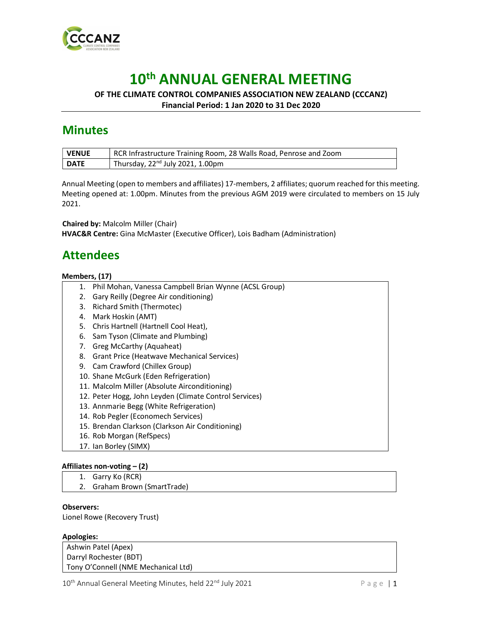

# 10th ANNUAL GENERAL MEETING

### OF THE CLIMATE CONTROL COMPANIES ASSOCIATION NEW ZEALAND (CCCANZ) Financial Period: 1 Jan 2020 to 31 Dec 2020

**Minutes** 

| <b>VENUE</b> | RCR Infrastructure Training Room, 28 Walls Road, Penrose and Zoom |
|--------------|-------------------------------------------------------------------|
| <b>DATE</b>  | Thursday, 22 <sup>nd</sup> July 2021, 1.00pm                      |

Annual Meeting (open to members and affiliates) 17-members, 2 affiliates; quorum reached for this meeting. Meeting opened at: 1.00pm. Minutes from the previous AGM 2019 were circulated to members on 15 July 2021.

Chaired by: Malcolm Miller (Chair) HVAC&R Centre: Gina McMaster (Executive Officer), Lois Badham (Administration)

# Attendees

### Members, (17)

- 1. Phil Mohan, Vanessa Campbell Brian Wynne (ACSL Group)
- 2. Gary Reilly (Degree Air conditioning)
- 3. Richard Smith (Thermotec)
- 4. Mark Hoskin (AMT)
- 5. Chris Hartnell (Hartnell Cool Heat),
- 6. Sam Tyson (Climate and Plumbing)
- 7. Greg McCarthy (Aquaheat)
- 8. Grant Price (Heatwave Mechanical Services)
- 9. Cam Crawford (Chillex Group)
- 10. Shane McGurk (Eden Refrigeration)
- 11. Malcolm Miller (Absolute Airconditioning)
- 12. Peter Hogg, John Leyden (Climate Control Services)
- 13. Annmarie Begg (White Refrigeration)
- 14. Rob Pegler (Economech Services)
- 15. Brendan Clarkson (Clarkson Air Conditioning)
- 16. Rob Morgan (RefSpecs)
- 17. Ian Borley (SIMX)

### Affiliates non-voting – (2)

- 1. Garry Ko (RCR)
- 2. Graham Brown (SmartTrade)

### Observers:

Lionel Rowe (Recovery Trust)

#### Apologies:

Ashwin Patel (Apex) Darryl Rochester (BDT) Tony O'Connell (NME Mechanical Ltd)

 $10^{th}$  Annual General Meeting Minutes, held  $22^{nd}$  July 2021  $P \text{ a ge } | \textbf{1}$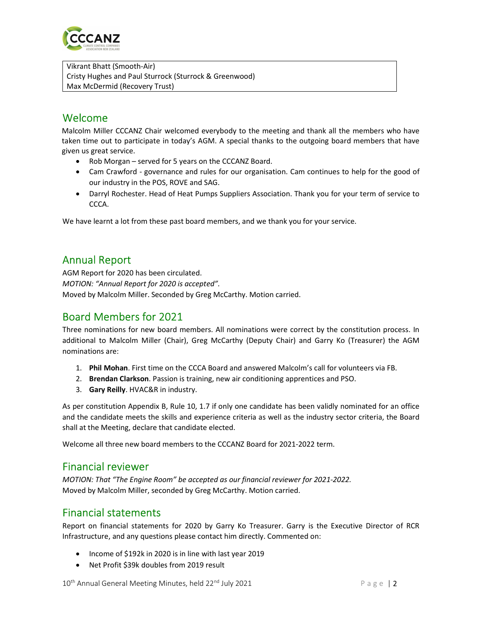

Vikrant Bhatt (Smooth-Air) Cristy Hughes and Paul Sturrock (Sturrock & Greenwood) Max McDermid (Recovery Trust)

# Welcome

Malcolm Miller CCCANZ Chair welcomed everybody to the meeting and thank all the members who have taken time out to participate in today's AGM. A special thanks to the outgoing board members that have given us great service.

- Rob Morgan served for 5 years on the CCCANZ Board.
- Cam Crawford governance and rules for our organisation. Cam continues to help for the good of our industry in the POS, ROVE and SAG.
- Darryl Rochester. Head of Heat Pumps Suppliers Association. Thank you for your term of service to CCCA.

We have learnt a lot from these past board members, and we thank you for your service.

## Annual Report

AGM Report for 2020 has been circulated. MOTION: "Annual Report for 2020 is accepted". Moved by Malcolm Miller. Seconded by Greg McCarthy. Motion carried.

### Board Members for 2021

Three nominations for new board members. All nominations were correct by the constitution process. In additional to Malcolm Miller (Chair), Greg McCarthy (Deputy Chair) and Garry Ko (Treasurer) the AGM nominations are:

- 1. Phil Mohan. First time on the CCCA Board and answered Malcolm's call for volunteers via FB.
- 2. Brendan Clarkson. Passion is training, new air conditioning apprentices and PSO.
- 3. Gary Reilly. HVAC&R in industry.

As per constitution Appendix B, Rule 10, 1.7 if only one candidate has been validly nominated for an office and the candidate meets the skills and experience criteria as well as the industry sector criteria, the Board shall at the Meeting, declare that candidate elected.

Welcome all three new board members to the CCCANZ Board for 2021-2022 term.

### Financial reviewer

MOTION: That "The Engine Room" be accepted as our financial reviewer for 2021-2022. Moved by Malcolm Miller, seconded by Greg McCarthy. Motion carried.

### Financial statements

Report on financial statements for 2020 by Garry Ko Treasurer. Garry is the Executive Director of RCR Infrastructure, and any questions please contact him directly. Commented on:

- Income of \$192k in 2020 is in line with last year 2019
- Net Profit \$39k doubles from 2019 result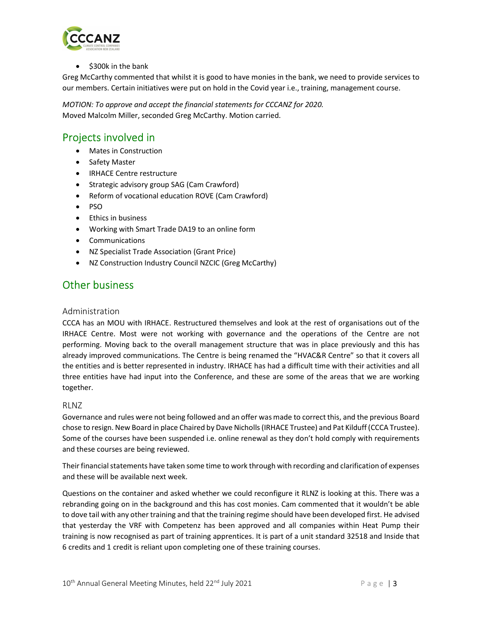

 $\bullet$  \$300k in the bank

Greg McCarthy commented that whilst it is good to have monies in the bank, we need to provide services to our members. Certain initiatives were put on hold in the Covid year i.e., training, management course.

MOTION: To approve and accept the financial statements for CCCANZ for 2020. Moved Malcolm Miller, seconded Greg McCarthy. Motion carried.

### Projects involved in

- Mates in Construction
- Safety Master
- IRHACE Centre restructure
- Strategic advisory group SAG (Cam Crawford)
- Reform of vocational education ROVE (Cam Crawford)
- $\bullet$  PSO
- **•** Ethics in business
- Working with Smart Trade DA19 to an online form
- Communications
- NZ Specialist Trade Association (Grant Price)
- NZ Construction Industry Council NZCIC (Greg McCarthy)

### Other business

#### Administration

CCCA has an MOU with IRHACE. Restructured themselves and look at the rest of organisations out of the IRHACE Centre. Most were not working with governance and the operations of the Centre are not performing. Moving back to the overall management structure that was in place previously and this has already improved communications. The Centre is being renamed the "HVAC&R Centre" so that it covers all the entities and is better represented in industry. IRHACE has had a difficult time with their activities and all three entities have had input into the Conference, and these are some of the areas that we are working together.

#### RLNZ

Governance and rules were not being followed and an offer was made to correct this, and the previous Board chose to resign. New Board in place Chaired by Dave Nicholls (IRHACE Trustee) and Pat Kilduff (CCCA Trustee). Some of the courses have been suspended i.e. online renewal as they don't hold comply with requirements and these courses are being reviewed.

Their financial statements have taken some time to work through with recording and clarification of expenses and these will be available next week.

Questions on the container and asked whether we could reconfigure it RLNZ is looking at this. There was a rebranding going on in the background and this has cost monies. Cam commented that it wouldn't be able to dove tail with any other training and that the training regime should have been developed first. He advised that yesterday the VRF with Competenz has been approved and all companies within Heat Pump their training is now recognised as part of training apprentices. It is part of a unit standard 32518 and Inside that 6 credits and 1 credit is reliant upon completing one of these training courses.